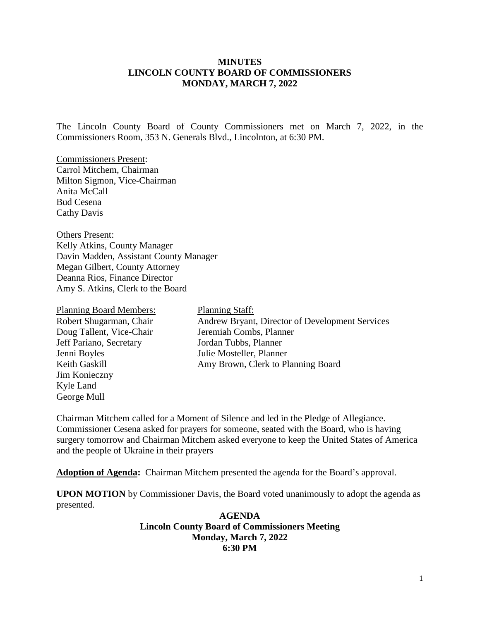#### **MINUTES LINCOLN COUNTY BOARD OF COMMISSIONERS MONDAY, MARCH 7, 2022**

The Lincoln County Board of County Commissioners met on March 7, 2022, in the Commissioners Room, 353 N. Generals Blvd., Lincolnton, at 6:30 PM.

Commissioners Present: Carrol Mitchem, Chairman Milton Sigmon, Vice-Chairman Anita McCall Bud Cesena Cathy Davis

Others Present: Kelly Atkins, County Manager Davin Madden, Assistant County Manager Megan Gilbert, County Attorney Deanna Rios, Finance Director Amy S. Atkins, Clerk to the Board

| <b>Planning Board Members:</b> | <b>Planning Staff:</b>                          |
|--------------------------------|-------------------------------------------------|
| Robert Shugarman, Chair        | Andrew Bryant, Director of Development Services |
| Doug Tallent, Vice-Chair       | Jeremiah Combs, Planner                         |
| Jeff Pariano, Secretary        | Jordan Tubbs, Planner                           |
| Jenni Boyles                   | Julie Mosteller, Planner                        |
| Keith Gaskill                  | Amy Brown, Clerk to Planning Board              |
| Jim Konieczny                  |                                                 |
| Kyle Land                      |                                                 |
| George Mull                    |                                                 |

Chairman Mitchem called for a Moment of Silence and led in the Pledge of Allegiance. Commissioner Cesena asked for prayers for someone, seated with the Board, who is having surgery tomorrow and Chairman Mitchem asked everyone to keep the United States of America and the people of Ukraine in their prayers

**Adoption of Agenda:** Chairman Mitchem presented the agenda for the Board's approval.

**UPON MOTION** by Commissioner Davis, the Board voted unanimously to adopt the agenda as presented.

> **AGENDA Lincoln County Board of Commissioners Meeting Monday, March 7, 2022 6:30 PM**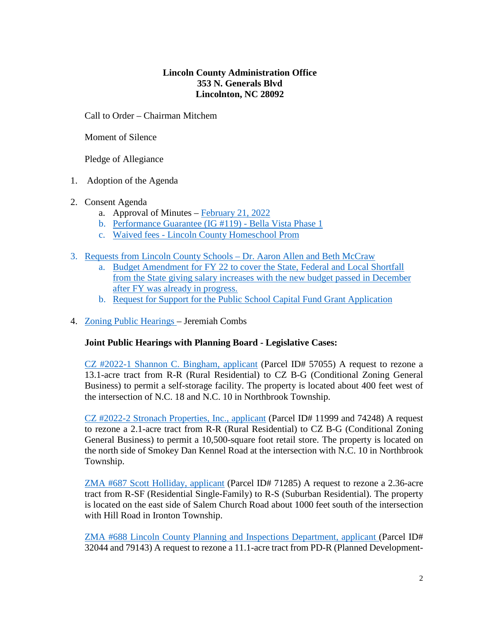## **Lincoln County Administration Office 353 N. Generals Blvd Lincolnton, NC 28092**

Call to Order – Chairman Mitchem

Moment of Silence

Pledge of Allegiance

- 1. Adoption of the Agenda
- 2. Consent Agenda
	- a. Approval of Minutes [February 21, 2022](https://www.lincolncounty.org/DocumentCenter/View/18615/022122)
	- b. [Performance Guarantee \(IG #119\) -](https://www.lincolncounty.org/DocumentCenter/View/18580/030722Item2b) Bella Vista Phase 1
	- c. Waived fees [Lincoln County Homeschool Prom](https://www.lincolncounty.org/DocumentCenter/View/18616/030722Item2c)
- 3. [Requests from Lincoln County Schools](https://www.lincolncounty.org/DocumentCenter/View/18601/030722Item3) Dr. Aaron Allen and Beth McCraw
	- a. Budget Amendment for FY 22 to cover the State, Federal and Local Shortfall from the State giving salary increases with the new budget passed in December after FY was already in progress.
	- b. Request for Support for the Public School Capital Fund Grant Application
- 4. [Zoning Public Hearings](https://www.lincolncounty.org/DocumentCenter/View/18581/030722Item3) Jeremiah Combs

## **Joint Public Hearings with Planning Board - Legislative Cases:**

[CZ #2022-1 Shannon C. Bingham, applicant](https://www.lincolncounty.org/DocumentCenter/View/18570/030722Item3a) (Parcel ID# 57055) A request to rezone a 13.1-acre tract from R-R (Rural Residential) to CZ B-G (Conditional Zoning General Business) to permit a self-storage facility. The property is located about 400 feet west of the intersection of N.C. 18 and N.C. 10 in Northbrook Township.

[CZ #2022-2 Stronach Properties, Inc., applicant](https://www.lincolncounty.org/DocumentCenter/View/18571/030722Item3b) (Parcel ID# 11999 and 74248) A request to rezone a 2.1-acre tract from R-R (Rural Residential) to CZ B-G (Conditional Zoning General Business) to permit a 10,500-square foot retail store. The property is located on the north side of Smokey Dan Kennel Road at the intersection with N.C. 10 in Northbrook Township.

[ZMA #687 Scott Holliday, applicant](https://www.lincolncounty.org/DocumentCenter/View/18572/030722Item3c) (Parcel ID# 71285) A request to rezone a 2.36-acre tract from R-SF (Residential Single-Family) to R-S (Suburban Residential). The property is located on the east side of Salem Church Road about 1000 feet south of the intersection with Hill Road in Ironton Township.

[ZMA #688 Lincoln County Planning and Inspections Department, applicant \(](https://www.lincolncounty.org/DocumentCenter/View/18573/030722Item3d)Parcel ID# 32044 and 79143) A request to rezone a 11.1-acre tract from PD-R (Planned Development-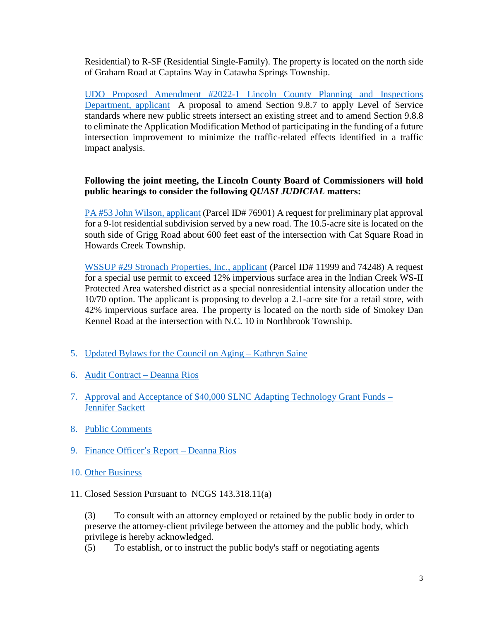Residential) to R-SF (Residential Single-Family). The property is located on the north side of Graham Road at Captains Way in Catawba Springs Township.

[UDO Proposed Amendment #2022-1 Lincoln County Planning and Inspections](https://www.lincolncounty.org/DocumentCenter/View/18574/030722Item3e)  [Department, applicant](https://www.lincolncounty.org/DocumentCenter/View/18574/030722Item3e) A proposal to amend Section 9.8.7 to apply Level of Service standards where new public streets intersect an existing street and to amend Section 9.8.8 to eliminate the Application Modification Method of participating in the funding of a future intersection improvement to minimize the traffic-related effects identified in a traffic impact analysis.

## **Following the joint meeting, the Lincoln County Board of Commissioners will hold public hearings to consider the following** *QUASI JUDICIAL* **matters:**

[PA #53 John Wilson, applicant](https://www.lincolncounty.org/DocumentCenter/View/18575/030722Item3f) (Parcel ID# 76901) A request for preliminary plat approval for a 9-lot residential subdivision served by a new road. The 10.5-acre site is located on the south side of Grigg Road about 600 feet east of the intersection with Cat Square Road in Howards Creek Township.

[WSSUP #29 Stronach Properties, Inc., applicant](https://www.lincolncounty.org/DocumentCenter/View/18576/030722Item3g) (Parcel ID# 11999 and 74248) A request for a special use permit to exceed 12% impervious surface area in the Indian Creek WS-II Protected Area watershed district as a special nonresidential intensity allocation under the 10/70 option. The applicant is proposing to develop a 2.1-acre site for a retail store, with 42% impervious surface area. The property is located on the north side of Smokey Dan Kennel Road at the intersection with N.C. 10 in Northbrook Township.

- 5. [Updated Bylaws for the Council on Aging –](https://www.lincolncounty.org/DocumentCenter/View/18577/030722Item4) Kathryn Saine
- 6. [Audit Contract](https://www.lincolncounty.org/DocumentCenter/View/18578/030722Item5) Deanna Rios
- 7. [Approval and Acceptance of \\$40,000 SLNC Adapting Technology Grant Funds](https://www.lincolncounty.org/DocumentCenter/View/18579/030722Item6) Jennifer Sackett
- 8. Public Comments
- 9. [Finance Officer's Report](https://www.lincolncounty.org/DocumentCenter/View/18602/030722Item9) Deanna Rios
- 10. Other Business
- 11. Closed Session Pursuant to NCGS 143.318.11(a)

(3) To consult with an attorney employed or retained by the public body in order to preserve the attorney-client privilege between the attorney and the public body, which privilege is hereby acknowledged.

(5) To establish, or to instruct the public body's staff or negotiating agents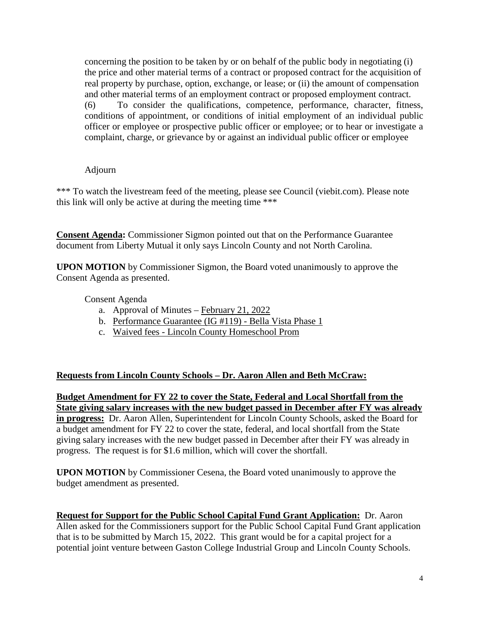concerning the position to be taken by or on behalf of the public body in negotiating (i) the price and other material terms of a contract or proposed contract for the acquisition of real property by purchase, option, exchange, or lease; or (ii) the amount of compensation and other material terms of an employment contract or proposed employment contract. (6) To consider the qualifications, competence, performance, character, fitness, conditions of appointment, or conditions of initial employment of an individual public officer or employee or prospective public officer or employee; or to hear or investigate a complaint, charge, or grievance by or against an individual public officer or employee

#### Adjourn

\*\*\* To watch the livestream feed of the meeting, please see Council (viebit.com). Please note this link will only be active at during the meeting time \*\*\*

**Consent Agenda:** Commissioner Sigmon pointed out that on the Performance Guarantee document from Liberty Mutual it only says Lincoln County and not North Carolina.

**UPON MOTION** by Commissioner Sigmon, the Board voted unanimously to approve the Consent Agenda as presented.

Consent Agenda

- a. Approval of Minutes [February 21, 2022](https://www.lincolncounty.org/DocumentCenter/View/18615/022122)
- b. [Performance Guarantee \(IG #119\) -](https://www.lincolncounty.org/DocumentCenter/View/18580/030722Item2b) Bella Vista Phase 1
- c. Waived fees [Lincoln County Homeschool Prom](https://www.lincolncounty.org/DocumentCenter/View/18616/030722Item2c)

## **[Requests from Lincoln County Schools](https://www.lincolncounty.org/DocumentCenter/View/18601/030722Item3) – Dr. Aaron Allen and Beth McCraw:**

**Budget Amendment for FY 22 to cover the State, Federal and Local Shortfall from the State giving salary increases with the new budget passed in December after FY was already in progress:** Dr. Aaron Allen, Superintendent for Lincoln County Schools, asked the Board for a budget amendment for FY 22 to cover the state, federal, and local shortfall from the State giving salary increases with the new budget passed in December after their FY was already in progress. The request is for \$1.6 million, which will cover the shortfall.

**UPON MOTION** by Commissioner Cesena, the Board voted unanimously to approve the budget amendment as presented.

**Request for Support for the Public School Capital Fund Grant Application:** Dr. Aaron Allen asked for the Commissioners support for the Public School Capital Fund Grant application that is to be submitted by March 15, 2022. This grant would be for a capital project for a potential joint venture between Gaston College Industrial Group and Lincoln County Schools.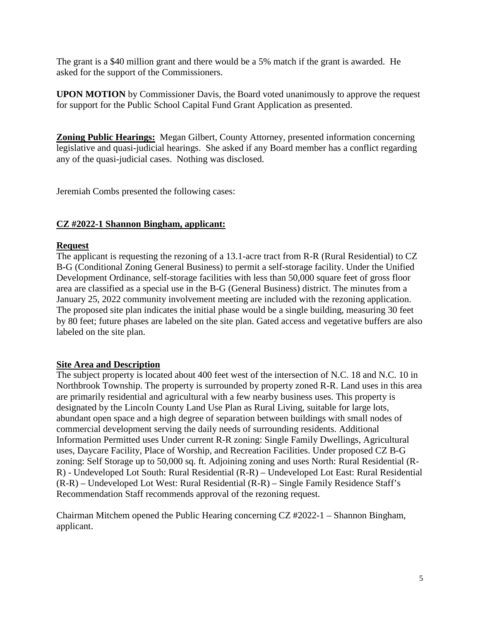The grant is a \$40 million grant and there would be a 5% match if the grant is awarded. He asked for the support of the Commissioners.

**UPON MOTION** by Commissioner Davis, the Board voted unanimously to approve the request for support for the Public School Capital Fund Grant Application as presented.

**Zoning Public Hearings:** Megan Gilbert, County Attorney, presented information concerning legislative and quasi-judicial hearings. She asked if any Board member has a conflict regarding any of the quasi-judicial cases. Nothing was disclosed.

Jeremiah Combs presented the following cases:

#### **CZ #2022-1 Shannon Bingham, applicant:**

#### **Request**

The applicant is requesting the rezoning of a 13.1-acre tract from R-R (Rural Residential) to CZ B-G (Conditional Zoning General Business) to permit a self-storage facility. Under the Unified Development Ordinance, self-storage facilities with less than 50,000 square feet of gross floor area are classified as a special use in the B-G (General Business) district. The minutes from a January 25, 2022 community involvement meeting are included with the rezoning application. The proposed site plan indicates the initial phase would be a single building, measuring 30 feet by 80 feet; future phases are labeled on the site plan. Gated access and vegetative buffers are also labeled on the site plan.

## **Site Area and Description**

The subject property is located about 400 feet west of the intersection of N.C. 18 and N.C. 10 in Northbrook Township. The property is surrounded by property zoned R-R. Land uses in this area are primarily residential and agricultural with a few nearby business uses. This property is designated by the Lincoln County Land Use Plan as Rural Living, suitable for large lots, abundant open space and a high degree of separation between buildings with small nodes of commercial development serving the daily needs of surrounding residents. Additional Information Permitted uses Under current R-R zoning: Single Family Dwellings, Agricultural uses, Daycare Facility, Place of Worship, and Recreation Facilities. Under proposed CZ B-G zoning: Self Storage up to 50,000 sq. ft. Adjoining zoning and uses North: Rural Residential (R-R) - Undeveloped Lot South: Rural Residential (R-R) – Undeveloped Lot East: Rural Residential (R-R) – Undeveloped Lot West: Rural Residential (R-R) – Single Family Residence Staff's Recommendation Staff recommends approval of the rezoning request.

Chairman Mitchem opened the Public Hearing concerning CZ #2022-1 – Shannon Bingham, applicant.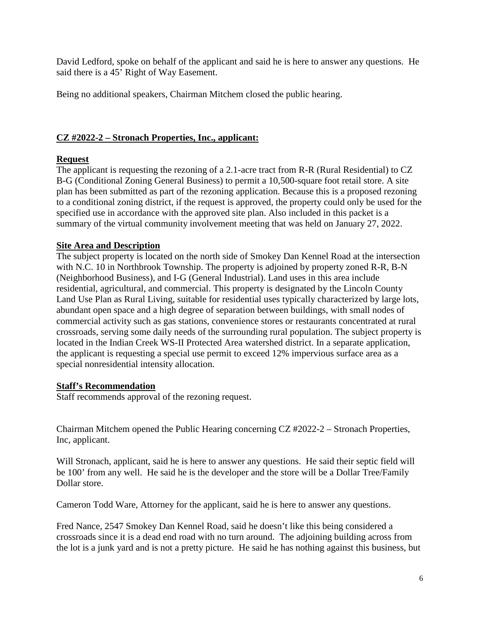David Ledford, spoke on behalf of the applicant and said he is here to answer any questions. He said there is a 45' Right of Way Easement.

Being no additional speakers, Chairman Mitchem closed the public hearing.

## **CZ #2022-2 – Stronach Properties, Inc., applicant:**

# **Request**

The applicant is requesting the rezoning of a 2.1-acre tract from R-R (Rural Residential) to CZ B-G (Conditional Zoning General Business) to permit a 10,500-square foot retail store. A site plan has been submitted as part of the rezoning application. Because this is a proposed rezoning to a conditional zoning district, if the request is approved, the property could only be used for the specified use in accordance with the approved site plan. Also included in this packet is a summary of the virtual community involvement meeting that was held on January 27, 2022.

# **Site Area and Description**

The subject property is located on the north side of Smokey Dan Kennel Road at the intersection with N.C. 10 in Northbrook Township. The property is adjoined by property zoned R-R, B-N (Neighborhood Business), and I-G (General Industrial). Land uses in this area include residential, agricultural, and commercial. This property is designated by the Lincoln County Land Use Plan as Rural Living, suitable for residential uses typically characterized by large lots, abundant open space and a high degree of separation between buildings, with small nodes of commercial activity such as gas stations, convenience stores or restaurants concentrated at rural crossroads, serving some daily needs of the surrounding rural population. The subject property is located in the Indian Creek WS-II Protected Area watershed district. In a separate application, the applicant is requesting a special use permit to exceed 12% impervious surface area as a special nonresidential intensity allocation.

# **Staff's Recommendation**

Staff recommends approval of the rezoning request.

Chairman Mitchem opened the Public Hearing concerning CZ #2022-2 – Stronach Properties, Inc, applicant.

Will Stronach, applicant, said he is here to answer any questions. He said their septic field will be 100' from any well. He said he is the developer and the store will be a Dollar Tree/Family Dollar store.

Cameron Todd Ware, Attorney for the applicant, said he is here to answer any questions.

Fred Nance, 2547 Smokey Dan Kennel Road, said he doesn't like this being considered a crossroads since it is a dead end road with no turn around. The adjoining building across from the lot is a junk yard and is not a pretty picture. He said he has nothing against this business, but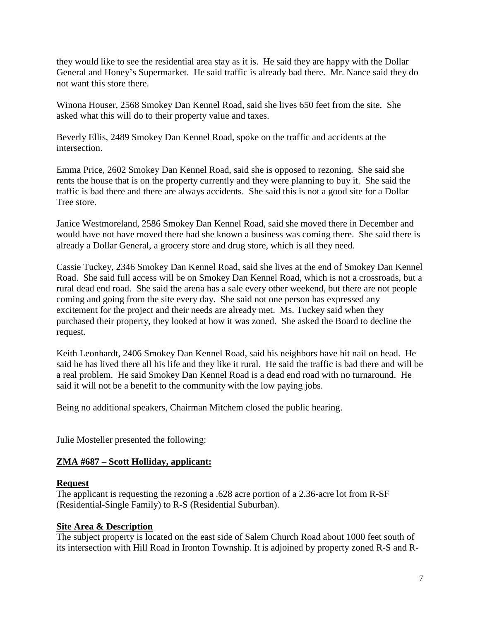they would like to see the residential area stay as it is. He said they are happy with the Dollar General and Honey's Supermarket. He said traffic is already bad there. Mr. Nance said they do not want this store there.

Winona Houser, 2568 Smokey Dan Kennel Road, said she lives 650 feet from the site. She asked what this will do to their property value and taxes.

Beverly Ellis, 2489 Smokey Dan Kennel Road, spoke on the traffic and accidents at the intersection.

Emma Price, 2602 Smokey Dan Kennel Road, said she is opposed to rezoning. She said she rents the house that is on the property currently and they were planning to buy it. She said the traffic is bad there and there are always accidents. She said this is not a good site for a Dollar Tree store.

Janice Westmoreland, 2586 Smokey Dan Kennel Road, said she moved there in December and would have not have moved there had she known a business was coming there. She said there is already a Dollar General, a grocery store and drug store, which is all they need.

Cassie Tuckey, 2346 Smokey Dan Kennel Road, said she lives at the end of Smokey Dan Kennel Road. She said full access will be on Smokey Dan Kennel Road, which is not a crossroads, but a rural dead end road. She said the arena has a sale every other weekend, but there are not people coming and going from the site every day. She said not one person has expressed any excitement for the project and their needs are already met. Ms. Tuckey said when they purchased their property, they looked at how it was zoned. She asked the Board to decline the request.

Keith Leonhardt, 2406 Smokey Dan Kennel Road, said his neighbors have hit nail on head. He said he has lived there all his life and they like it rural. He said the traffic is bad there and will be a real problem. He said Smokey Dan Kennel Road is a dead end road with no turnaround. He said it will not be a benefit to the community with the low paying jobs.

Being no additional speakers, Chairman Mitchem closed the public hearing.

Julie Mosteller presented the following:

# **ZMA #687 – Scott Holliday, applicant:**

# **Request**

The applicant is requesting the rezoning a .628 acre portion of a 2.36-acre lot from R-SF (Residential-Single Family) to R-S (Residential Suburban).

# **Site Area & Description**

The subject property is located on the east side of Salem Church Road about 1000 feet south of its intersection with Hill Road in Ironton Township. It is adjoined by property zoned R-S and R-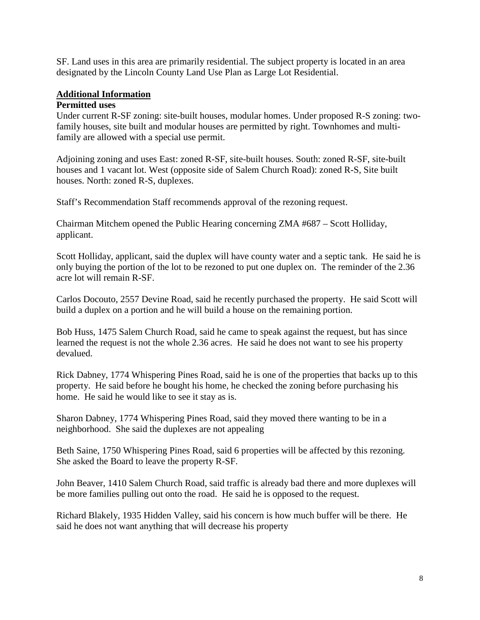SF. Land uses in this area are primarily residential. The subject property is located in an area designated by the Lincoln County Land Use Plan as Large Lot Residential.

#### **Additional Information Permitted uses**

Under current R-SF zoning: site-built houses, modular homes. Under proposed R-S zoning: twofamily houses, site built and modular houses are permitted by right. Townhomes and multifamily are allowed with a special use permit.

Adjoining zoning and uses East: zoned R-SF, site-built houses. South: zoned R-SF, site-built houses and 1 vacant lot. West (opposite side of Salem Church Road): zoned R-S, Site built houses. North: zoned R-S, duplexes.

Staff's Recommendation Staff recommends approval of the rezoning request.

Chairman Mitchem opened the Public Hearing concerning ZMA #687 – Scott Holliday, applicant.

Scott Holliday, applicant, said the duplex will have county water and a septic tank. He said he is only buying the portion of the lot to be rezoned to put one duplex on. The reminder of the 2.36 acre lot will remain R-SF.

Carlos Docouto, 2557 Devine Road, said he recently purchased the property. He said Scott will build a duplex on a portion and he will build a house on the remaining portion.

Bob Huss, 1475 Salem Church Road, said he came to speak against the request, but has since learned the request is not the whole 2.36 acres. He said he does not want to see his property devalued.

Rick Dabney, 1774 Whispering Pines Road, said he is one of the properties that backs up to this property. He said before he bought his home, he checked the zoning before purchasing his home. He said he would like to see it stay as is.

Sharon Dabney, 1774 Whispering Pines Road, said they moved there wanting to be in a neighborhood. She said the duplexes are not appealing

Beth Saine, 1750 Whispering Pines Road, said 6 properties will be affected by this rezoning. She asked the Board to leave the property R-SF.

John Beaver, 1410 Salem Church Road, said traffic is already bad there and more duplexes will be more families pulling out onto the road. He said he is opposed to the request.

Richard Blakely, 1935 Hidden Valley, said his concern is how much buffer will be there. He said he does not want anything that will decrease his property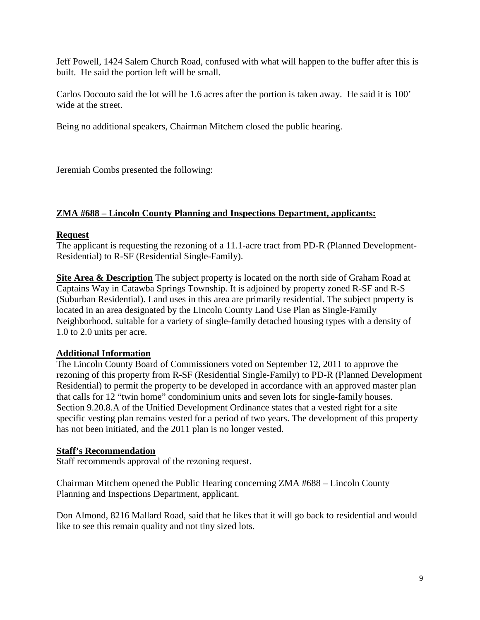Jeff Powell, 1424 Salem Church Road, confused with what will happen to the buffer after this is built. He said the portion left will be small.

Carlos Docouto said the lot will be 1.6 acres after the portion is taken away. He said it is 100' wide at the street.

Being no additional speakers, Chairman Mitchem closed the public hearing.

Jeremiah Combs presented the following:

# **ZMA #688 – Lincoln County Planning and Inspections Department, applicants:**

## **Request**

The applicant is requesting the rezoning of a 11.1-acre tract from PD-R (Planned Development-Residential) to R-SF (Residential Single-Family).

**Site Area & Description** The subject property is located on the north side of Graham Road at Captains Way in Catawba Springs Township. It is adjoined by property zoned R-SF and R-S (Suburban Residential). Land uses in this area are primarily residential. The subject property is located in an area designated by the Lincoln County Land Use Plan as Single-Family Neighborhood, suitable for a variety of single-family detached housing types with a density of 1.0 to 2.0 units per acre.

## **Additional Information**

The Lincoln County Board of Commissioners voted on September 12, 2011 to approve the rezoning of this property from R-SF (Residential Single-Family) to PD-R (Planned Development Residential) to permit the property to be developed in accordance with an approved master plan that calls for 12 "twin home" condominium units and seven lots for single-family houses. Section 9.20.8.A of the Unified Development Ordinance states that a vested right for a site specific vesting plan remains vested for a period of two years. The development of this property has not been initiated, and the 2011 plan is no longer vested.

## **Staff's Recommendation**

Staff recommends approval of the rezoning request.

Chairman Mitchem opened the Public Hearing concerning ZMA #688 – Lincoln County Planning and Inspections Department, applicant.

Don Almond, 8216 Mallard Road, said that he likes that it will go back to residential and would like to see this remain quality and not tiny sized lots.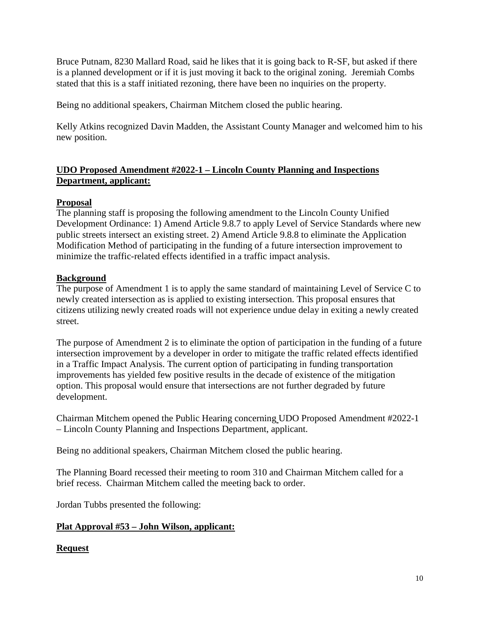Bruce Putnam, 8230 Mallard Road, said he likes that it is going back to R-SF, but asked if there is a planned development or if it is just moving it back to the original zoning. Jeremiah Combs stated that this is a staff initiated rezoning, there have been no inquiries on the property.

Being no additional speakers, Chairman Mitchem closed the public hearing.

Kelly Atkins recognized Davin Madden, the Assistant County Manager and welcomed him to his new position.

# **UDO Proposed Amendment #2022-1 – Lincoln County Planning and Inspections Department, applicant:**

# **Proposal**

The planning staff is proposing the following amendment to the Lincoln County Unified Development Ordinance: 1) Amend Article 9.8.7 to apply Level of Service Standards where new public streets intersect an existing street. 2) Amend Article 9.8.8 to eliminate the Application Modification Method of participating in the funding of a future intersection improvement to minimize the traffic-related effects identified in a traffic impact analysis.

# **Background**

The purpose of Amendment 1 is to apply the same standard of maintaining Level of Service C to newly created intersection as is applied to existing intersection. This proposal ensures that citizens utilizing newly created roads will not experience undue delay in exiting a newly created street.

The purpose of Amendment 2 is to eliminate the option of participation in the funding of a future intersection improvement by a developer in order to mitigate the traffic related effects identified in a Traffic Impact Analysis. The current option of participating in funding transportation improvements has yielded few positive results in the decade of existence of the mitigation option. This proposal would ensure that intersections are not further degraded by future development.

Chairman Mitchem opened the Public Hearing concerning UDO Proposed Amendment #2022-1 – Lincoln County Planning and Inspections Department, applicant.

Being no additional speakers, Chairman Mitchem closed the public hearing.

The Planning Board recessed their meeting to room 310 and Chairman Mitchem called for a brief recess. Chairman Mitchem called the meeting back to order.

Jordan Tubbs presented the following:

# **Plat Approval #53 – John Wilson, applicant:**

# **Request**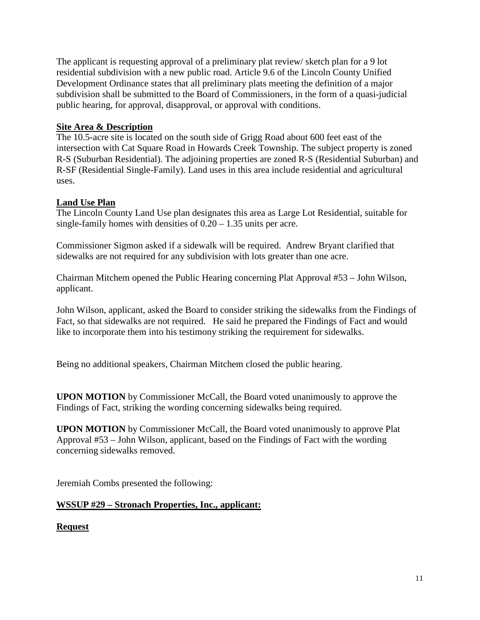The applicant is requesting approval of a preliminary plat review/ sketch plan for a 9 lot residential subdivision with a new public road. Article 9.6 of the Lincoln County Unified Development Ordinance states that all preliminary plats meeting the definition of a major subdivision shall be submitted to the Board of Commissioners, in the form of a quasi-judicial public hearing, for approval, disapproval, or approval with conditions.

# **Site Area & Description**

The 10.5-acre site is located on the south side of Grigg Road about 600 feet east of the intersection with Cat Square Road in Howards Creek Township. The subject property is zoned R-S (Suburban Residential). The adjoining properties are zoned R-S (Residential Suburban) and R-SF (Residential Single-Family). Land uses in this area include residential and agricultural uses.

# **Land Use Plan**

The Lincoln County Land Use plan designates this area as Large Lot Residential, suitable for single-family homes with densities of 0.20 – 1.35 units per acre.

Commissioner Sigmon asked if a sidewalk will be required. Andrew Bryant clarified that sidewalks are not required for any subdivision with lots greater than one acre.

Chairman Mitchem opened the Public Hearing concerning Plat Approval #53 – John Wilson, applicant.

John Wilson, applicant, asked the Board to consider striking the sidewalks from the Findings of Fact, so that sidewalks are not required. He said he prepared the Findings of Fact and would like to incorporate them into his testimony striking the requirement for sidewalks.

Being no additional speakers, Chairman Mitchem closed the public hearing.

**UPON MOTION** by Commissioner McCall, the Board voted unanimously to approve the Findings of Fact, striking the wording concerning sidewalks being required.

**UPON MOTION** by Commissioner McCall, the Board voted unanimously to approve Plat Approval #53 – John Wilson, applicant, based on the Findings of Fact with the wording concerning sidewalks removed.

Jeremiah Combs presented the following:

## **WSSUP #29 – Stronach Properties, Inc., applicant:**

## **Request**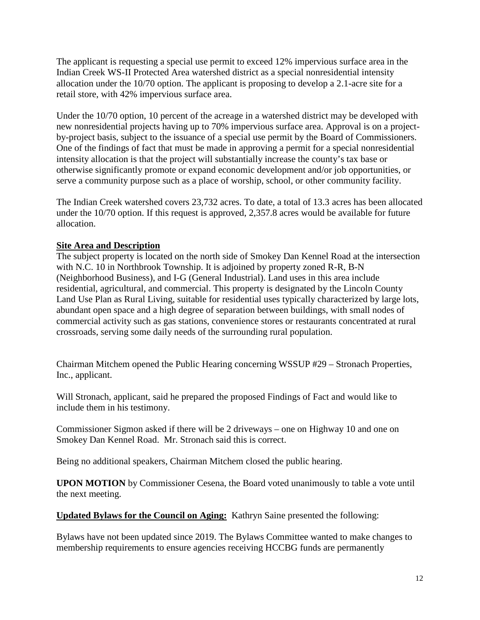The applicant is requesting a special use permit to exceed 12% impervious surface area in the Indian Creek WS-II Protected Area watershed district as a special nonresidential intensity allocation under the 10/70 option. The applicant is proposing to develop a 2.1-acre site for a retail store, with 42% impervious surface area.

Under the 10/70 option, 10 percent of the acreage in a watershed district may be developed with new nonresidential projects having up to 70% impervious surface area. Approval is on a projectby-project basis, subject to the issuance of a special use permit by the Board of Commissioners. One of the findings of fact that must be made in approving a permit for a special nonresidential intensity allocation is that the project will substantially increase the county's tax base or otherwise significantly promote or expand economic development and/or job opportunities, or serve a community purpose such as a place of worship, school, or other community facility.

The Indian Creek watershed covers 23,732 acres. To date, a total of 13.3 acres has been allocated under the 10/70 option. If this request is approved, 2,357.8 acres would be available for future allocation.

## **Site Area and Description**

The subject property is located on the north side of Smokey Dan Kennel Road at the intersection with N.C. 10 in Northbrook Township. It is adjoined by property zoned R-R, B-N (Neighborhood Business), and I-G (General Industrial). Land uses in this area include residential, agricultural, and commercial. This property is designated by the Lincoln County Land Use Plan as Rural Living, suitable for residential uses typically characterized by large lots, abundant open space and a high degree of separation between buildings, with small nodes of commercial activity such as gas stations, convenience stores or restaurants concentrated at rural crossroads, serving some daily needs of the surrounding rural population.

Chairman Mitchem opened the Public Hearing concerning WSSUP #29 – Stronach Properties, Inc., applicant.

Will Stronach, applicant, said he prepared the proposed Findings of Fact and would like to include them in his testimony.

Commissioner Sigmon asked if there will be 2 driveways – one on Highway 10 and one on Smokey Dan Kennel Road. Mr. Stronach said this is correct.

Being no additional speakers, Chairman Mitchem closed the public hearing.

**UPON MOTION** by Commissioner Cesena, the Board voted unanimously to table a vote until the next meeting.

**Updated Bylaws for the Council on Aging:** Kathryn Saine presented the following:

Bylaws have not been updated since 2019. The Bylaws Committee wanted to make changes to membership requirements to ensure agencies receiving HCCBG funds are permanently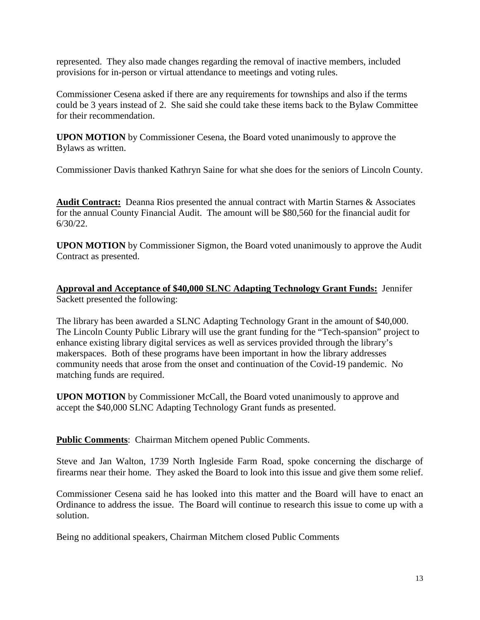represented. They also made changes regarding the removal of inactive members, included provisions for in-person or virtual attendance to meetings and voting rules.

Commissioner Cesena asked if there are any requirements for townships and also if the terms could be 3 years instead of 2. She said she could take these items back to the Bylaw Committee for their recommendation.

**UPON MOTION** by Commissioner Cesena, the Board voted unanimously to approve the Bylaws as written.

Commissioner Davis thanked Kathryn Saine for what she does for the seniors of Lincoln County.

**Audit Contract:** Deanna Rios presented the annual contract with Martin Starnes & Associates for the annual County Financial Audit. The amount will be \$80,560 for the financial audit for 6/30/22.

**UPON MOTION** by Commissioner Sigmon, the Board voted unanimously to approve the Audit Contract as presented.

**Approval and Acceptance of \$40,000 SLNC Adapting Technology Grant Funds:** Jennifer Sackett presented the following:

The library has been awarded a SLNC Adapting Technology Grant in the amount of \$40,000. The Lincoln County Public Library will use the grant funding for the "Tech-spansion" project to enhance existing library digital services as well as services provided through the library's makerspaces. Both of these programs have been important in how the library addresses community needs that arose from the onset and continuation of the Covid-19 pandemic. No matching funds are required.

**UPON MOTION** by Commissioner McCall, the Board voted unanimously to approve and accept the \$40,000 SLNC Adapting Technology Grant funds as presented.

**Public Comments**: Chairman Mitchem opened Public Comments.

Steve and Jan Walton, 1739 North Ingleside Farm Road, spoke concerning the discharge of firearms near their home. They asked the Board to look into this issue and give them some relief.

Commissioner Cesena said he has looked into this matter and the Board will have to enact an Ordinance to address the issue. The Board will continue to research this issue to come up with a solution.

Being no additional speakers, Chairman Mitchem closed Public Comments